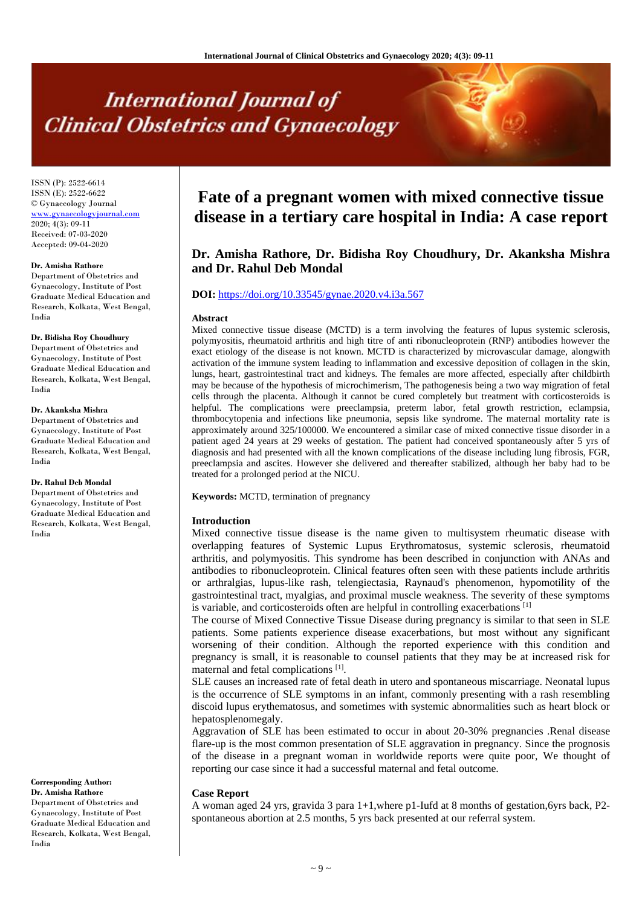# **International Journal of Clinical Obstetrics and Gynaecology**

ISSN (P): 2522-6614 ISSN (E): 2522-6622 © Gynaecology Journal <www.gynaecologyjournal.com> 2020; 4(3): 09-11 Received: 07-03-2020 Accepted: 09-04-2020

#### **Dr. Amisha Rathore**

Department of Obstetrics and Gynaecology, Institute of Post Graduate Medical Education and Research, Kolkata, West Bengal, India

## **Dr. Bidisha Roy Choudhury**

Department of Obstetrics and Gynaecology, Institute of Post Graduate Medical Education and Research, Kolkata, West Bengal, India

#### **Dr. Akanksha Mishra**

Department of Obstetrics and Gynaecology, Institute of Post Graduate Medical Education and Research, Kolkata, West Bengal, India

#### **Dr. Rahul Deb Mondal**

Department of Obstetrics and Gynaecology, Institute of Post Graduate Medical Education and Research, Kolkata, West Bengal, India

**Corresponding Author: Dr. Amisha Rathore**

Department of Obstetrics and Gynaecology, Institute of Post Graduate Medical Education and Research, Kolkata, West Bengal, India

# **Fate of a pregnant women with mixed connective tissue disease in a tertiary care hospital in India: A case report**

# **Dr. Amisha Rathore, Dr. Bidisha Roy Choudhury, Dr. Akanksha Mishra and Dr. Rahul Deb Mondal**

# **DOI:** <https://doi.org/10.33545/gynae.2020.v4.i3a.567>

#### **Abstract**

Mixed connective tissue disease (MCTD) is a term involving the features of lupus systemic sclerosis, polymyositis, rheumatoid arthritis and high titre of anti ribonucleoprotein (RNP) antibodies however the exact etiology of the disease is not known. MCTD is characterized by microvascular damage, alongwith activation of the immune system leading to inflammation and excessive deposition of collagen in the skin, lungs, heart, gastrointestinal tract and kidneys. The females are more affected, especially after childbirth may be because of the hypothesis of microchimerism, The pathogenesis being a two way migration of fetal cells through the placenta. Although it cannot be cured completely but treatment with corticosteroids is helpful. The complications were preeclampsia, preterm labor, fetal growth restriction, eclampsia, thrombocytopenia and infections like pneumonia, sepsis like syndrome. The maternal mortality rate is approximately around 325/100000. We encountered a similar case of mixed connective tissue disorder in a patient aged 24 years at 29 weeks of gestation. The patient had conceived spontaneously after 5 yrs of diagnosis and had presented with all the known complications of the disease including lung fibrosis, FGR, preeclampsia and ascites. However she delivered and thereafter stabilized, although her baby had to be treated for a prolonged period at the NICU.

**Keywords:** MCTD, termination of pregnancy

#### **Introduction**

Mixed connective tissue disease is the name given to multisystem rheumatic disease with overlapping features of Systemic Lupus Erythromatosus, systemic sclerosis, rheumatoid arthritis, and polymyositis. This syndrome has been described in conjunction with ANAs and antibodies to ribonucleoprotein. Clinical features often seen with these patients include arthritis or arthralgias, lupus-like rash, telengiectasia, Raynaud's phenomenon, hypomotility of the gastrointestinal tract, myalgias, and proximal muscle weakness. The severity of these symptoms is variable, and corticosteroids often are helpful in controlling exacerbations [1]

The course of Mixed Connective Tissue Disease during pregnancy is similar to that seen in SLE patients. Some patients experience disease exacerbations, but most without any significant worsening of their condition. Although the reported experience with this condition and pregnancy is small, it is reasonable to counsel patients that they may be at increased risk for maternal and fetal complications<sup>[1]</sup>.

SLE causes an increased rate of fetal death in utero and spontaneous miscarriage. Neonatal lupus is the occurrence of SLE symptoms in an infant, commonly presenting with a rash resembling discoid lupus erythematosus, and sometimes with systemic abnormalities such as heart block or hepatosplenomegaly.

Aggravation of SLE has been estimated to occur in about 20-30% pregnancies .Renal disease flare-up is the most common presentation of SLE aggravation in pregnancy. Since the prognosis of the disease in a pregnant woman in worldwide reports were quite poor, We thought of reporting our case since it had a successful maternal and fetal outcome.

### **Case Report**

A woman aged 24 yrs, gravida 3 para 1+1,where p1-Iufd at 8 months of gestation,6yrs back, P2 spontaneous abortion at 2.5 months, 5 yrs back presented at our referral system.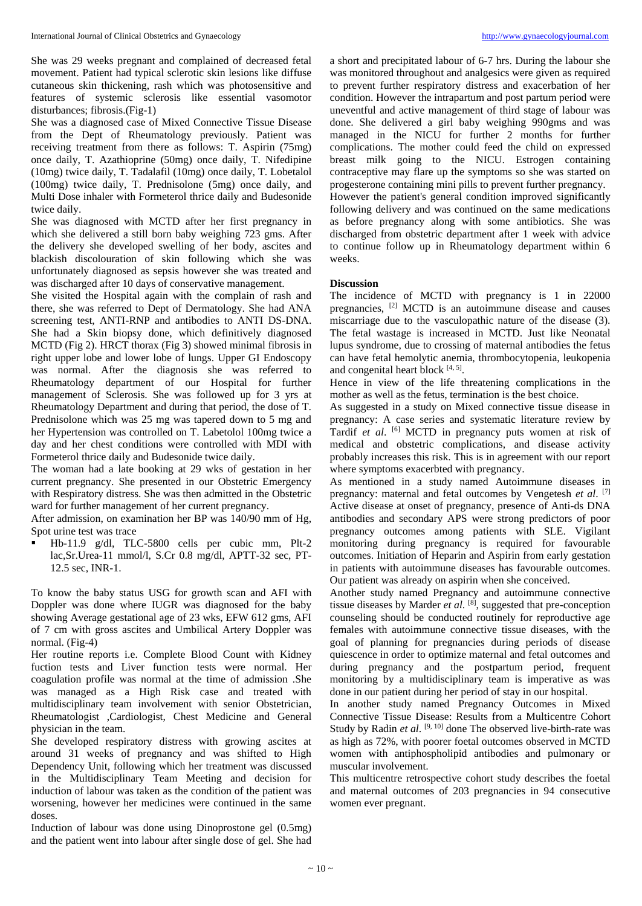She was 29 weeks pregnant and complained of decreased fetal movement. Patient had typical sclerotic skin lesions like diffuse cutaneous skin thickening, rash which was photosensitive and features of systemic sclerosis like essential vasomotor disturbances; fibrosis.(Fig-1)

She was a diagnosed case of Mixed Connective Tissue Disease from the Dept of Rheumatology previously. Patient was receiving treatment from there as follows: T. Aspirin (75mg) once daily, T. Azathioprine (50mg) once daily, T. Nifedipine (10mg) twice daily, T. Tadalafil (10mg) once daily, T. Lobetalol (100mg) twice daily, T. Prednisolone (5mg) once daily, and Multi Dose inhaler with Formeterol thrice daily and Budesonide twice daily.

She was diagnosed with MCTD after her first pregnancy in which she delivered a still born baby weighing 723 gms. After the delivery she developed swelling of her body, ascites and blackish discolouration of skin following which she was unfortunately diagnosed as sepsis however she was treated and was discharged after 10 days of conservative management.

She visited the Hospital again with the complain of rash and there, she was referred to Dept of Dermatology. She had ANA screening test, ANTI-RNP and antibodies to ANTI DS-DNA. She had a Skin biopsy done, which definitively diagnosed MCTD (Fig 2). HRCT thorax (Fig 3) showed minimal fibrosis in right upper lobe and lower lobe of lungs. Upper GI Endoscopy was normal. After the diagnosis she was referred to Rheumatology department of our Hospital for further management of Sclerosis. She was followed up for 3 yrs at Rheumatology Department and during that period, the dose of T. Prednisolone which was 25 mg was tapered down to 5 mg and her Hypertension was controlled on T. Labetolol 100mg twice a day and her chest conditions were controlled with MDI with Formeterol thrice daily and Budesonide twice daily.

The woman had a late booking at 29 wks of gestation in her current pregnancy. She presented in our Obstetric Emergency with Respiratory distress. She was then admitted in the Obstetric ward for further management of her current pregnancy.

After admission, on examination her BP was 140/90 mm of Hg, Spot urine test was trace

 Hb-11.9 g/dl, TLC-5800 cells per cubic mm, Plt-2 lac,Sr.Urea-11 mmol/l, S.Cr 0.8 mg/dl, APTT-32 sec, PT-12.5 sec, INR-1.

To know the baby status USG for growth scan and AFI with Doppler was done where IUGR was diagnosed for the baby showing Average gestational age of 23 wks, EFW 612 gms, AFI of 7 cm with gross ascites and Umbilical Artery Doppler was normal. (Fig-4)

Her routine reports i.e. Complete Blood Count with Kidney fuction tests and Liver function tests were normal. Her coagulation profile was normal at the time of admission .She was managed as a High Risk case and treated with multidisciplinary team involvement with senior Obstetrician, Rheumatologist ,Cardiologist, Chest Medicine and General physician in the team.

She developed respiratory distress with growing ascites at around 31 weeks of pregnancy and was shifted to High Dependency Unit, following which her treatment was discussed in the Multidisciplinary Team Meeting and decision for induction of labour was taken as the condition of the patient was worsening, however her medicines were continued in the same doses.

Induction of labour was done using Dinoprostone gel (0.5mg) and the patient went into labour after single dose of gel. She had a short and precipitated labour of 6-7 hrs. During the labour she was monitored throughout and analgesics were given as required to prevent further respiratory distress and exacerbation of her condition. However the intrapartum and post partum period were uneventful and active management of third stage of labour was done. She delivered a girl baby weighing 990gms and was managed in the NICU for further 2 months for further complications. The mother could feed the child on expressed breast milk going to the NICU. Estrogen containing contraceptive may flare up the symptoms so she was started on progesterone containing mini pills to prevent further pregnancy. However the patient's general condition improved significantly following delivery and was continued on the same medications as before pregnancy along with some antibiotics. She was discharged from obstetric department after 1 week with advice to continue follow up in Rheumatology department within 6 weeks.

# **Discussion**

The incidence of MCTD with pregnancy is 1 in 22000 pregnancies, [2] MCTD is an autoimmune disease and causes miscarriage due to the vasculopathic nature of the disease (3). The fetal wastage is increased in MCTD. Just like Neonatal lupus syndrome, due to crossing of maternal antibodies the fetus can have fetal hemolytic anemia, thrombocytopenia, leukopenia and congenital heart block  $[4, 5]$ .

Hence in view of the life threatening complications in the mother as well as the fetus, termination is the best choice.

As suggested in a study on Mixed connective tissue disease in pregnancy: A case series and systematic literature review by Tardif et al. <sup>[6]</sup> MCTD in pregnancy puts women at risk of medical and obstetric complications, and disease activity probably increases this risk. This is in agreement with our report where symptoms exacerbted with pregnancy.

As mentioned in a study named Autoimmune diseases in pregnancy: maternal and fetal outcomes by Vengetesh *et al*. [7] Active disease at onset of pregnancy, presence of Anti-ds DNA antibodies and secondary APS were strong predictors of poor pregnancy outcomes among patients with SLE. Vigilant monitoring during pregnancy is required for favourable outcomes. Initiation of Heparin and Aspirin from early gestation in patients with autoimmune diseases has favourable outcomes. Our patient was already on aspirin when she conceived.

Another study named Pregnancy and autoimmune connective tissue diseases by Marder *et al.* [8], suggested that pre-conception counseling should be conducted routinely for reproductive age females with autoimmune connective tissue diseases, with the goal of planning for pregnancies during periods of disease quiescence in order to optimize maternal and fetal outcomes and during pregnancy and the postpartum period, frequent monitoring by a multidisciplinary team is imperative as was done in our patient during her period of stay in our hospital.

In another study named Pregnancy Outcomes in Mixed Connective Tissue Disease: Results from a Multicentre Cohort Study by Radin et al. <sup>[9, 10]</sup> done The observed live-birth-rate was as high as 72%, with poorer foetal outcomes observed in MCTD women with antiphospholipid antibodies and pulmonary or muscular involvement.

This multicentre retrospective cohort study describes the foetal and maternal outcomes of 203 pregnancies in 94 consecutive women ever pregnant.